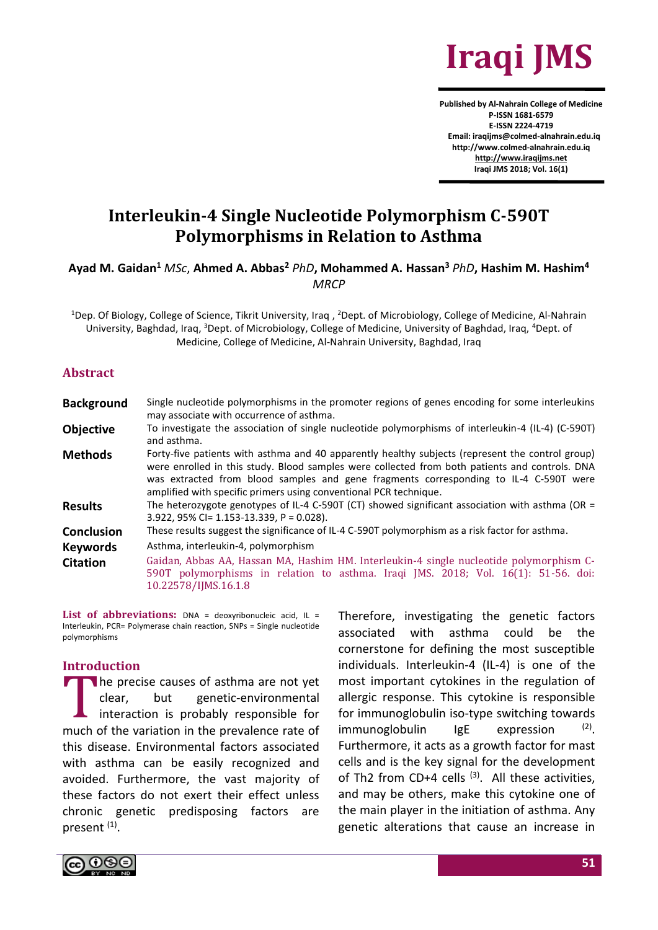

**Published by Al-Nahrain College of Medicine P-ISSN 1681-6579 E-ISSN 2224-4719 Email: iraqijms@colmed-alnahrain.edu.iq http://www.colmed-alnahrain.edu.iq [http://www.iraqijms.net](http://www.iraqijms.net/) Iraqi JMS 2018; Vol. 16(1)**

# **Interleukin-4 Single Nucleotide Polymorphism C-590T Polymorphisms in Relation to Asthma**

**Ayad M. Gaidan<sup>1</sup>** *MSc*, **Ahmed A. Abbas<sup>2</sup>** *PhD***, Mohammed A. Hassan<sup>3</sup>** *PhD***, Hashim M. Hashim<sup>4</sup>** *MRCP*

<sup>1</sup>Dep. Of Biology, College of Science, Tikrit University, Iraq, <sup>2</sup>Dept. of Microbiology, College of Medicine, Al-Nahrain University, Baghdad, Iraq, <sup>3</sup>Dept. of Microbiology, College of Medicine, University of Baghdad, Iraq, <sup>4</sup>Dept. of Medicine, College of Medicine, Al-Nahrain University, Baghdad, Iraq

#### **Abstract**

| <b>Background</b> | Single nucleotide polymorphisms in the promoter regions of genes encoding for some interleukins<br>may associate with occurrence of asthma.                                                                                                                                                                                                                      |  |  |  |  |
|-------------------|------------------------------------------------------------------------------------------------------------------------------------------------------------------------------------------------------------------------------------------------------------------------------------------------------------------------------------------------------------------|--|--|--|--|
| <b>Objective</b>  | To investigate the association of single nucleotide polymorphisms of interleukin-4 (IL-4) (C-590T)<br>and asthma.                                                                                                                                                                                                                                                |  |  |  |  |
| <b>Methods</b>    | Forty-five patients with asthma and 40 apparently healthy subjects (represent the control group)<br>were enrolled in this study. Blood samples were collected from both patients and controls. DNA<br>was extracted from blood samples and gene fragments corresponding to IL-4 C-590T were<br>amplified with specific primers using conventional PCR technique. |  |  |  |  |
| <b>Results</b>    | The heterozygote genotypes of IL-4 C-590T (CT) showed significant association with asthma (OR =<br>$3.922$ , $95\%$ CI= 1.153-13.339, P = 0.028).                                                                                                                                                                                                                |  |  |  |  |
| Conclusion        | These results suggest the significance of IL-4 C-590T polymorphism as a risk factor for asthma.                                                                                                                                                                                                                                                                  |  |  |  |  |
| <b>Keywords</b>   | Asthma, interleukin-4, polymorphism                                                                                                                                                                                                                                                                                                                              |  |  |  |  |
| <b>Citation</b>   | Gaidan, Abbas AA, Hassan MA, Hashim HM. Interleukin-4 single nucleotide polymorphism C-<br>590T polymorphisms in relation to asthma. Iraqi JMS. 2018; Vol. 16(1): 51-56. doi:<br>10.22578/IJMS.16.1.8                                                                                                                                                            |  |  |  |  |

List of abbreviations: DNA = deoxyribonucleic acid, IL = Interleukin, PCR= Polymerase chain reaction, SNPs = Single nucleotide polymorphisms

#### **Introduction**

he precise causes of asthma are not yet clear, but genetic-environmental interaction is probably responsible for much of the variation in the prevalence rate of this disease. Environmental factors associated with asthma can be easily recognized and avoided. Furthermore, the vast majority of these factors do not exert their effect unless chronic genetic predisposing factors are present<sup>(1)</sup>. T<br>T

Therefore, investigating the genetic factors associated with asthma could be the cornerstone for defining the most susceptible individuals. Interleukin-4 (IL-4) is one of the most important cytokines in the regulation of allergic response. This cytokine is responsible for immunoglobulin iso-type switching towards immunoglobulin IgE expression  $(2)$ Furthermore, it acts as a growth factor for mast cells and is the key signal for the development of Th2 from CD+4 cells  $(3)$ . All these activities, and may be others, make this cytokine one of the main player in the initiation of asthma. Any genetic alterations that cause an increase in

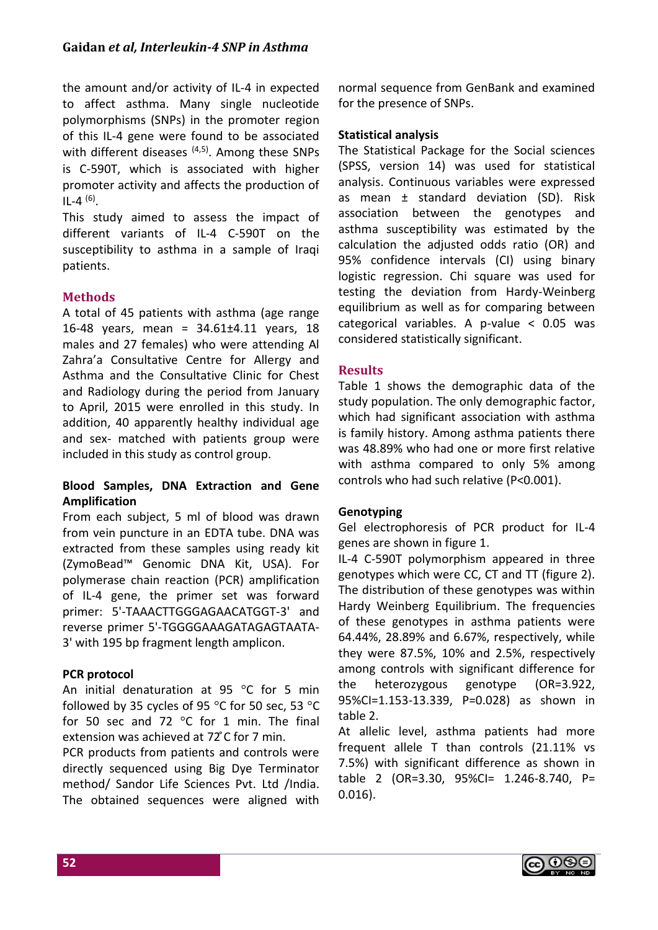the amount and/or activity of IL-4 in expected to affect asthma. Many single nucleotide polymorphisms (SNPs) in the promoter region of this IL-4 gene were found to be associated with different diseases  $(4,5)$ . Among these SNPs is C-590T, which is associated with higher promoter activity and affects the production of  $IL-4$  <sup>(6)</sup>.

This study aimed to assess the impact of different variants of IL-4 C-590T on the susceptibility to asthma in a sample of Iraqi patients.

# **Methods**

A total of 45 patients with asthma (age range 16-48 years, mean =  $34.61 \pm 4.11$  years, 18 males and 27 females) who were attending Al Zahra'a Consultative Centre for Allergy and Asthma and the Consultative Clinic for Chest and Radiology during the period from January to April, 2015 were enrolled in this study. In addition, 40 apparently healthy individual age and sex- matched with patients group were included in this study as control group.

### **Blood Samples, DNA Extraction and Gene Amplification**

From each subject, 5 ml of blood was drawn from vein puncture in an EDTA tube. DNA was extracted from these samples using ready kit (ZymoBead™ Genomic DNA Kit, USA). For polymerase chain reaction (PCR) amplification of IL-4 gene, the primer set was forward primer: 5'-TAAACTTGGGAGAACATGGT-3' and reverse primer 5'-TGGGGAAAGATAGAGTAATA-3' with 195 bp fragment length amplicon.

### **PCR protocol**

An initial denaturation at 95 °C for 5 min followed by 35 cycles of 95 °C for 50 sec, 53 °C for 50 sec and 72  $^{\circ}$ C for 1 min. The final extension was achieved at 72°C for 7 min.

PCR products from patients and controls were directly sequenced using Big Dye Terminator method/ Sandor Life Sciences Pvt. Ltd /India. The obtained sequences were aligned with normal sequence from GenBank and examined for the presence of SNPs.

### **Statistical analysis**

The Statistical Package for the Social sciences (SPSS, version 14) was used for statistical analysis. Continuous variables were expressed as mean  $\pm$  standard deviation (SD). Risk association between the genotypes and asthma susceptibility was estimated by the calculation the adjusted odds ratio (OR) and 95% confidence intervals (CI) using binary logistic regression. Chi square was used for testing the deviation from Hardy-Weinberg equilibrium as well as for comparing between categorical variables. A p-value < 0.05 was considered statistically significant.

### **Results**

Table 1 shows the demographic data of the study population. The only demographic factor, which had significant association with asthma is family history. Among asthma patients there was 48.89% who had one or more first relative with asthma compared to only 5% among controls who had such relative (P<0.001).

### **Genotyping**

Gel electrophoresis of PCR product for IL-4 genes are shown in figure 1.

IL-4 C-590T polymorphism appeared in three genotypes which were CC, CT and TT (figure 2). The distribution of these genotypes was within Hardy Weinberg Equilibrium. The frequencies of these genotypes in asthma patients were 64.44%, 28.89% and 6.67%, respectively, while they were 87.5%, 10% and 2.5%, respectively among controls with significant difference for the heterozygous genotype (OR=3.922, 95%CI=1.153-13.339, P=0.028) as shown in table 2.

At allelic level, asthma patients had more frequent allele T than controls (21.11% vs 7.5%) with significant difference as shown in table 2 (OR=3.30, 95%CI= 1.246-8.740, P= 0.016).

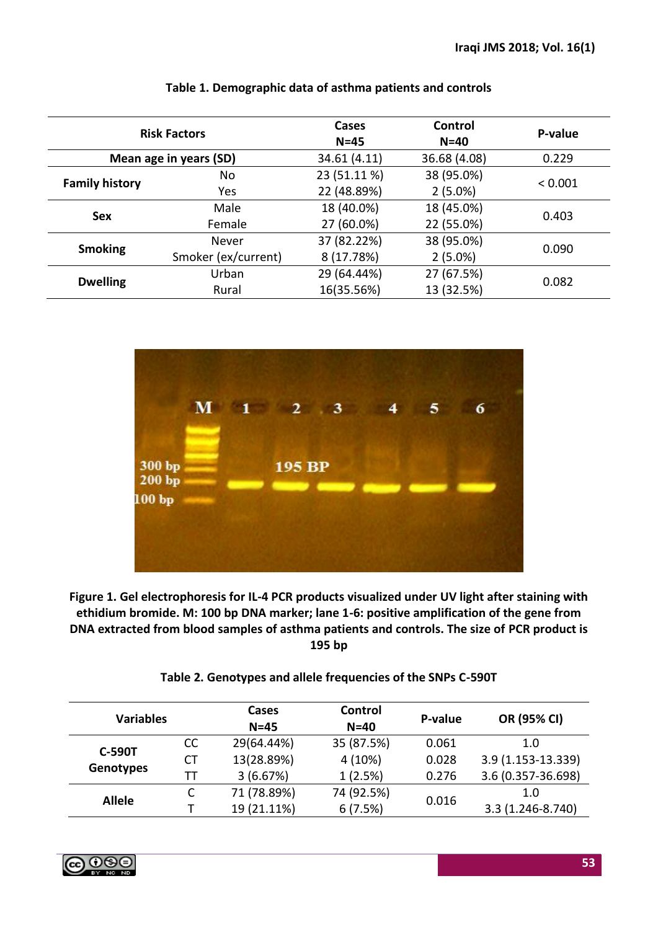|                       | <b>Risk Factors</b>    | Cases<br>$N=45$ | Control<br>$N = 40$ | P-value |  |
|-----------------------|------------------------|-----------------|---------------------|---------|--|
|                       | Mean age in years (SD) | 34.61 (4.11)    | 36.68 (4.08)        | 0.229   |  |
|                       | No                     | 23 (51.11 %)    | 38 (95.0%)          | < 0.001 |  |
| <b>Family history</b> | Yes                    | 22 (48.89%)     | $2(5.0\%)$          |         |  |
| <b>Sex</b>            | Male                   | 18 (40.0%)      | 18 (45.0%)          | 0.403   |  |
|                       | Female                 | 27 (60.0%)      | 22 (55.0%)          |         |  |
| <b>Smoking</b>        | Never                  | 37 (82.22%)     | 38 (95.0%)          | 0.090   |  |
|                       | Smoker (ex/current)    | 8 (17.78%)      | $2(5.0\%)$          |         |  |
| <b>Dwelling</b>       | Urban                  | 29 (64.44%)     | 27 (67.5%)          |         |  |
|                       | Rural                  | 16(35.56%)      | 13 (32.5%)          | 0.082   |  |

# **Table 1. Demographic data of asthma patients and controls**



**Figure 1. Gel electrophoresis for IL-4 PCR products visualized under UV light after staining with ethidium bromide. M: 100 bp DNA marker; lane 1-6: positive amplification of the gene from DNA extracted from blood samples of asthma patients and controls. The size of PCR product is 195 bp**

| <b>Variables</b> |    | Cases<br>$N=45$ | Control<br>$N=40$ | P-value | OR (95% CI)        |
|------------------|----|-----------------|-------------------|---------|--------------------|
| <b>C-590T</b>    | CC | 29(64.44%)      | 35 (87.5%)        | 0.061   | 1.0                |
|                  | СT | 13(28.89%)      | 4(10%)            | 0.028   | 3.9 (1.153-13.339) |
| Genotypes        | ТT | 3(6.67%)        | 1(2.5%)           | 0.276   | 3.6 (0.357-36.698) |
| <b>Allele</b>    |    | 71 (78.89%)     | 74 (92.5%)        | 0.016   | 1.0                |
|                  |    | 19 (21.11%)     | 6(7.5%)           |         | 3.3 (1.246-8.740)  |

### **Table 2. Genotypes and allele frequencies of the SNPs C-590T**

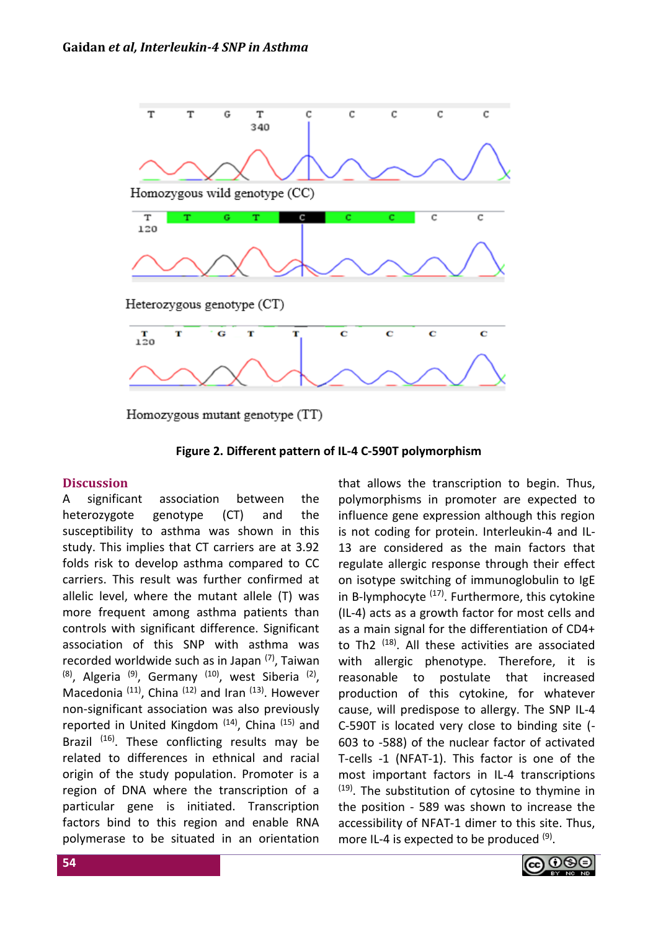

Homozygous mutant genotype (TT)

**Figure 2. Different pattern of IL-4 C-590T polymorphism**

### **Discussion**

A significant association between the heterozygote genotype (CT) and the susceptibility to asthma was shown in this study. This implies that CT carriers are at 3.92 folds risk to develop asthma compared to CC carriers. This result was further confirmed at allelic level, where the mutant allele (T) was more frequent among asthma patients than controls with significant difference. Significant association of this SNP with asthma was recorded worldwide such as in Japan  $(7)$ , Taiwan  $(8)$ , Algeria  $(9)$ , Germany  $(10)$ , west Siberia  $(2)$ , Macedonia<sup>(11)</sup>, China<sup>(12)</sup> and Iran<sup>(13)</sup>. However non-significant association was also previously reported in United Kingdom (14), China (15) and Brazil (16). These conflicting results may be related to differences in ethnical and racial origin of the study population. Promoter is a region of DNA where the transcription of a particular gene is initiated. Transcription factors bind to this region and enable RNA polymerase to be situated in an orientation that allows the transcription to begin. Thus, polymorphisms in promoter are expected to influence gene expression although this region is not coding for protein. Interleukin-4 and IL-13 are considered as the main factors that regulate allergic response through their effect on isotype switching of immunoglobulin to IgE in B-lymphocyte  $(17)$ . Furthermore, this cytokine (IL-4) acts as a growth factor for most cells and as a main signal for the differentiation of CD4+ to Th2 (18). All these activities are associated with allergic phenotype. Therefore, it is reasonable to postulate that increased production of this cytokine, for whatever cause, will predispose to allergy. The SNP IL-4 C-590T is located very close to binding site (- 603 to -588) of the nuclear factor of activated T-cells -1 (NFAT-1). This factor is one of the most important factors in IL-4 transcriptions  $(19)$ . The substitution of cytosine to thymine in the position - 589 was shown to increase the accessibility of NFAT-1 dimer to this site. Thus, more IL-4 is expected to be produced  $(9)$ .

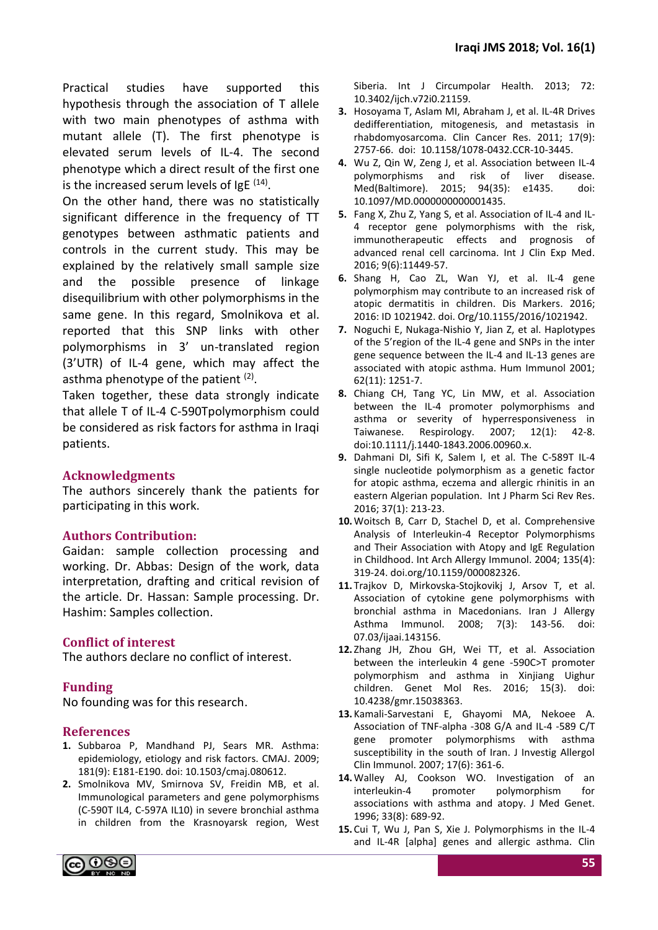Practical studies have supported this hypothesis through the association of T allele with two main phenotypes of asthma with mutant allele (T). The first phenotype is elevated serum levels of IL-4. The second phenotype which a direct result of the first one is the increased serum levels of IgE <sup>(14)</sup>.

On the other hand, there was no statistically significant difference in the frequency of TT genotypes between asthmatic patients and controls in the current study. This may be explained by the relatively small sample size and the possible presence of linkage disequilibrium with other polymorphisms in the same gene. In this regard, Smolnikova et al. reported that this SNP links with other polymorphisms in 3' un-translated region (3'UTR) of IL-4 gene, which may affect the asthma phenotype of the patient <sup>(2)</sup>.

Taken together, these data strongly indicate that allele T of IL-4 C-590Tpolymorphism could be considered as risk factors for asthma in Iraqi patients.

### **Acknowledgments**

The authors sincerely thank the patients for participating in this work.

### **Authors Contribution:**

Gaidan: sample collection processing and working. Dr. Abbas: Design of the work, data interpretation, drafting and critical revision of the article. Dr. Hassan: Sample processing. Dr. Hashim: Samples collection.

### **Conflict of interest**

The authors declare no conflict of interest.

### **Funding**

No founding was for this research.

### **References**

- **1.** Subbaroa P, Mandhand PJ, Sears MR. Asthma: epidemiology, etiology and risk factors. CMAJ. 2009; 181(9): E181-E190. doi: 10.1503/cmaj.080612.
- **2.** Smolnikova MV, Smirnova SV, Freidin MB, et al. Immunological parameters and gene polymorphisms (C-590T IL4, C-597A IL10) in severe bronchial asthma in children from the Krasnoyarsk region, West



Siberia. Int J Circumpolar Health. 2013; 72: 10.3402/ijch.v72i0.21159.

- **3.** Hosoyama T, Aslam MI, Abraham J, et al. IL-4R Drives dedifferentiation, mitogenesis, and metastasis in rhabdomyosarcoma. Clin Cancer Res. 2011; 17(9): 2757-66. doi: 10.1158/1078-0432.CCR-10-3445.
- **4.** Wu Z, Qin W, Zeng J, et al. Association between IL-4 polymorphisms and risk of liver disease. Med(Baltimore). 2015; 94(35): e1435. doi: 10.1097/MD.0000000000001435.
- **5.** Fang X, Zhu Z, Yang S, et al. Association of IL-4 and IL-4 receptor gene polymorphisms with the risk, immunotherapeutic effects and prognosis of advanced renal cell carcinoma. Int J Clin Exp Med. 2016; 9(6):11449-57.
- **6.** Shang H, Cao ZL, Wan YJ, et al. IL-4 gene polymorphism may contribute to an increased risk of atopic dermatitis in children. Dis Markers. 2016; 2016: ID 1021942. doi. Org/10.1155/2016/1021942.
- **7.** Noguchi E, Nukaga-Nishio Y, Jian Z, et al. Haplotypes of the 5'region of the IL-4 gene and SNPs in the inter gene sequence between the IL-4 and IL-13 genes are associated with atopic asthma. Hum Immunol 2001; 62(11): 1251-7.
- **8.** Chiang CH, Tang YC, Lin MW, et al. Association between the IL-4 promoter polymorphisms and asthma or severity of hyperresponsiveness in<br>Taiwanese. Respirology. 2007; 12(1): 42-8. Taiwanese. Respirology. 2007; 12(1): 42-8. doi:10.1111/j.1440-1843.2006.00960.x.
- **9.** Dahmani DI, Sifi K, Salem I, et al. The C-589T IL-4 single nucleotide polymorphism as a genetic factor for atopic asthma, eczema and allergic rhinitis in an eastern Algerian population. Int J Pharm Sci Rev Res. 2016; 37(1): 213-23.
- **10.**Woitsch B, Carr D, Stachel D, et al. Comprehensive Analysis of Interleukin-4 Receptor Polymorphisms and Their Association with Atopy and IgE Regulation in Childhood. Int Arch Allergy Immunol. 2004; 135(4): 319-24. doi.org/10.1159/000082326.
- **11.** Trajkov D, Mirkovska-Stojkovikj J, Arsov T, et al. Association of cytokine gene polymorphisms with bronchial asthma in Macedonians. Iran J Allergy Asthma Immunol. 2008; 7(3): 143-56. doi: 07.03/ijaai.143156.
- **12.** Zhang JH, Zhou GH, Wei TT, et al. Association between the interleukin 4 gene -590C>T promoter polymorphism and asthma in Xinjiang Uighur children. Genet Mol Res. 2016; 15(3). doi: 10.4238/gmr.15038363.
- **13.** Kamali-Sarvestani E, Ghayomi MA, Nekoee A. Association of TNF-alpha -308 G/A and IL-4 -589 C/T gene promoter polymorphisms with asthma susceptibility in the south of Iran. J Investig Allergol Clin Immunol. 2007; 17(6): 361-6.
- **14.**Walley AJ, Cookson WO. Investigation of an interleukin-4 promoter polymorphism for associations with asthma and atopy. J Med Genet. 1996; 33(8): 689-92.
- **15.** Cui T, Wu J, Pan S, Xie J. Polymorphisms in the IL-4 and IL-4R [alpha] genes and allergic asthma. Clin